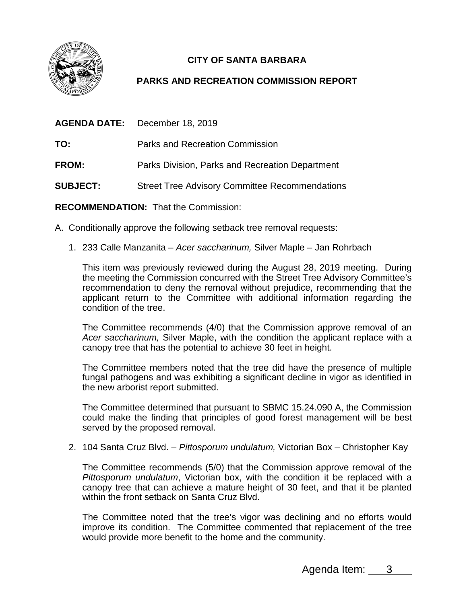

## **CITY OF SANTA BARBARA**

## **PARKS AND RECREATION COMMISSION REPORT**

| <b>AGENDA DATE:</b> | December 18, 2019                                     |
|---------------------|-------------------------------------------------------|
| TO:                 | <b>Parks and Recreation Commission</b>                |
| FROM:               | Parks Division, Parks and Recreation Department       |
| <b>SUBJECT:</b>     | <b>Street Tree Advisory Committee Recommendations</b> |
|                     |                                                       |

**RECOMMENDATION:** That the Commission:

- A. Conditionally approve the following setback tree removal requests:
	- 1. 233 Calle Manzanita *Acer saccharinum,* Silver Maple Jan Rohrbach

This item was previously reviewed during the August 28, 2019 meeting. During the meeting the Commission concurred with the Street Tree Advisory Committee's recommendation to deny the removal without prejudice, recommending that the applicant return to the Committee with additional information regarding the condition of the tree.

The Committee recommends (4/0) that the Commission approve removal of an *Acer saccharinum,* Silver Maple, with the condition the applicant replace with a canopy tree that has the potential to achieve 30 feet in height.

The Committee members noted that the tree did have the presence of multiple fungal pathogens and was exhibiting a significant decline in vigor as identified in the new arborist report submitted.

The Committee determined that pursuant to SBMC 15.24.090 A, the Commission could make the finding that principles of good forest management will be best served by the proposed removal.

2. 104 Santa Cruz Blvd. – *Pittosporum undulatum,* Victorian Box *–* Christopher Kay

The Committee recommends (5/0) that the Commission approve removal of the *Pittosporum undulatum*, Victorian box, with the condition it be replaced with a canopy tree that can achieve a mature height of 30 feet, and that it be planted within the front setback on Santa Cruz Blvd.

The Committee noted that the tree's vigor was declining and no efforts would improve its condition. The Committee commented that replacement of the tree would provide more benefit to the home and the community.

Agenda Item: 3